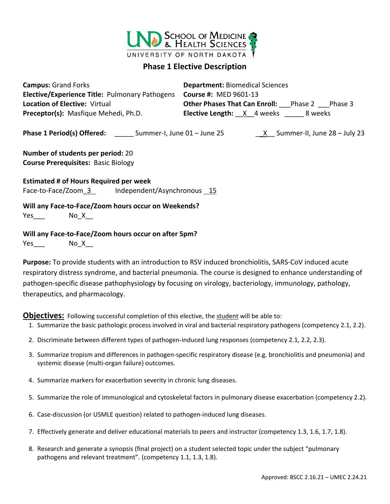

## **Phase 1 Elective Description**

| <b>Campus: Grand Forks</b>                            | <b>Department: Biomedical Sciences</b>        |
|-------------------------------------------------------|-----------------------------------------------|
| <b>Elective/Experience Title: Pulmonary Pathogens</b> | <b>Course #: MED 9601-13</b>                  |
| <b>Location of Elective: Virtual</b>                  | Other Phases That Can Enroll: Phase 2 Phase 3 |
| Preceptor(s): Masfique Mehedi, Ph.D.                  | Elective Length: X 4 weeks 8 weeks            |
|                                                       |                                               |
| Number of students per period: 20                     |                                               |
| <b>Course Prerequisites: Basic Biology</b>            |                                               |
| <b>Estimated # of Hours Required per week</b>         |                                               |
| Face-to-Face/Zoom 3 Independent/Asynchronous 15       |                                               |
| Will any Face-to-Face/Zoom hours occur on Weekends?   |                                               |
| Yes No X                                              |                                               |
| Will any Face-to-Face/Zoom hours occur on after 5pm?  |                                               |
| $Yes$ $No_X$                                          |                                               |

**Purpose:** To provide students with an introduction to RSV induced bronchiolitis, SARS-CoV induced acute respiratory distress syndrome, and bacterial pneumonia. The course is designed to enhance understanding of pathogen-specific disease pathophysiology by focusing on virology, bacteriology, immunology, pathology, therapeutics, and pharmacology.

**Objectives:** Following successful completion of this elective, the student will be able to:

- 1. Summarize the basic pathologic process involved in viral and bacterial respiratory pathogens (competency 2.1, 2.2).
- 2. Discriminate between different types of pathogen-induced lung responses (competency 2.1, 2.2, 2.3).
- 3. Summarize tropism and differences in pathogen-specific respiratory disease (e.g. bronchiolitis and pneumonia) and systemic disease (multi-organ failure) outcomes.
- 4. Summarize markers for exacerbation severity in chronic lung diseases.
- 5. Summarize the role of immunological and cytoskeletal factors in pulmonary disease exacerbation (competency 2.2).
- 6. Case-discussion (or USMLE question) related to pathogen-induced lung diseases.
- 7. Effectively generate and deliver educational materials to peers and instructor (competency 1.3, 1.6, 1.7, 1.8).
- 8. Research and generate a synopsis (final project) on a student selected topic under the subject "pulmonary pathogens and relevant treatment". (competency 1.1, 1.3, 1.8).